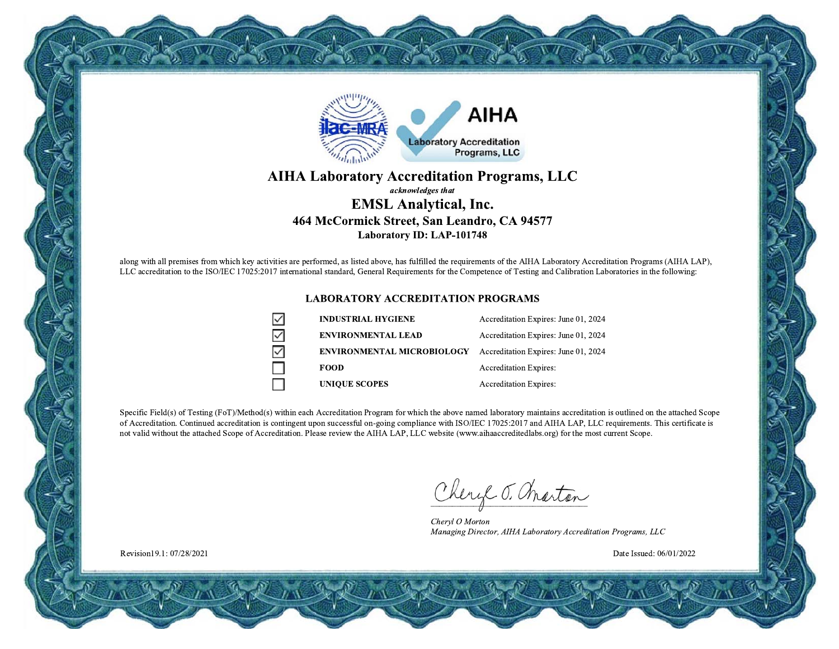

#### **AIHA Laboratory Accreditation Programs, LLC** acknowledges that **EMSL Analytical, Inc.** 464 McCormick Street, San Leandro, CA 94577 **Laboratory ID: LAP-101748**

along with all premises from which key activities are performed, as listed above, has fulfilled the requirements of the AIHA Laboratory Accreditation Programs (AIHA LAP), LLC accreditation to the ISO/IEC 17025:2017 international standard, General Requirements for the Competence of Testing and Calibration Laboratories in the following:

#### **LABORATORY ACCREDITATION PROGRAMS**

 $\checkmark$  $\vee$ 

 $\geq$ 

| <b>INDUSTRIAL HYGIENE</b>         | Accreditation Expires: June 01, 2024 |  |
|-----------------------------------|--------------------------------------|--|
| <b>ENVIRONMENTAL LEAD</b>         | Accreditation Expires: June 01, 2024 |  |
| <b>ENVIRONMENTAL MICROBIOLOGY</b> | Accreditation Expires: June 01, 2024 |  |
| <b>FOOD</b>                       | <b>Accreditation Expires:</b>        |  |
| <b>UNIOUE SCOPES</b>              | <b>Accreditation Expires:</b>        |  |

Specific Field(s) of Testing (FoT)/Method(s) within each Accreditation Program for which the above named laboratory maintains accreditation is outlined on the attached Scope of Accreditation. Continued accreditation is contingent upon successful on-going compliance with ISO/IEC 17025:2017 and AIHA LAP, LLC requirements. This certificate is not valid without the attached Scope of Accreditation. Please review the AIHA LAP, LLC website (www.aihaaccreditedlabs.org) for the most current Scope.

Cheryl J. Marton

Chervl O Morton Managing Director, AIHA Laboratory Accreditation Programs, LLC

Date Issued: 06/01/2022

Revision19.1: 07/28/2021